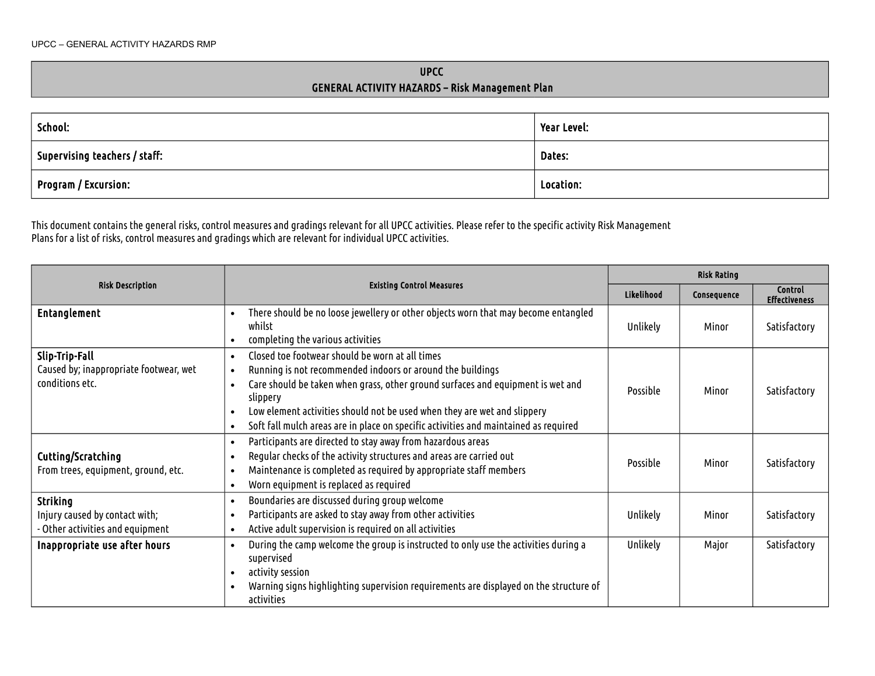## UPCC GENERAL ACTIVITY HAZARDS – Risk Management Plan

| School:                              | Year Level: |
|--------------------------------------|-------------|
| $\mid$ Supervising teachers / staff: | Dates:      |
| $\mid$ Program / Excursion:          | Location:   |

This document contains the general risks, control measures and gradings relevant for all UPCC activities. Please refer to the specific activity Risk Management Plans for a list of risks, control measures and gradings which are relevant for individual UPCC activities.

|                                                                                                                                                                                                                                                                            |                                                                                                                                                                                                                                                                                                                                                                                                            |            | <b>Risk Rating</b> |                                        |  |
|----------------------------------------------------------------------------------------------------------------------------------------------------------------------------------------------------------------------------------------------------------------------------|------------------------------------------------------------------------------------------------------------------------------------------------------------------------------------------------------------------------------------------------------------------------------------------------------------------------------------------------------------------------------------------------------------|------------|--------------------|----------------------------------------|--|
| <b>Risk Description</b><br><b>Existing Control Measures</b>                                                                                                                                                                                                                |                                                                                                                                                                                                                                                                                                                                                                                                            | Likelihood | Consequence        | <b>Control</b><br><b>Effectiveness</b> |  |
| <b>Entanglement</b>                                                                                                                                                                                                                                                        | There should be no loose jewellery or other objects worn that may become entangled<br>$\bullet$<br>whilst<br>completing the various activities                                                                                                                                                                                                                                                             | Unlikely   | Minor              | Satisfactory                           |  |
| Slip-Trip-Fall<br>Caused by; inappropriate footwear, wet<br>conditions etc.                                                                                                                                                                                                | Closed toe footwear should be worn at all times<br>$\bullet$<br>Running is not recommended indoors or around the buildings<br>Care should be taken when grass, other ground surfaces and equipment is wet and<br>slippery<br>Low element activities should not be used when they are wet and slippery<br>Soft fall mulch areas are in place on specific activities and maintained as required<br>$\bullet$ | Possible   | Minor              | Satisfactory                           |  |
| Cutting/Scratching<br>From trees, equipment, ground, etc.                                                                                                                                                                                                                  | Participants are directed to stay away from hazardous areas<br>$\bullet$<br>Regular checks of the activity structures and areas are carried out<br>Maintenance is completed as required by appropriate staff members<br>Worn equipment is replaced as required<br>$\bullet$                                                                                                                                |            | Minor              | Satisfactory                           |  |
| <b>Striking</b><br>Injury caused by contact with;<br>- Other activities and equipment                                                                                                                                                                                      | Boundaries are discussed during group welcome<br>$\bullet$<br>Participants are asked to stay away from other activities<br>Active adult supervision is required on all activities<br>$\bullet$                                                                                                                                                                                                             | Unlikely   | Minor              | Satisfactory                           |  |
| During the camp welcome the group is instructed to only use the activities during a<br>Inappropriate use after hours<br>$\bullet$<br>supervised<br>activity session<br>Warning signs highlighting supervision requirements are displayed on the structure of<br>activities |                                                                                                                                                                                                                                                                                                                                                                                                            | Unlikely   | Major              | Satisfactory                           |  |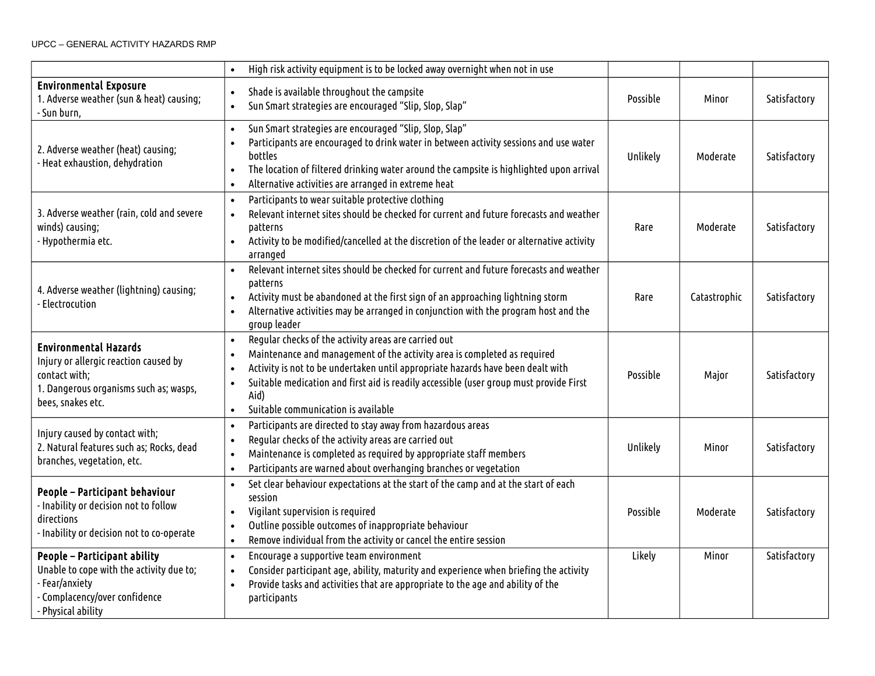|                                                                                                                                                                                                                                                                                                                                                                                                                 | High risk activity equipment is to be locked away overnight when not in use                                                                                                                                                                                                                                                                                                                         |          |              |              |
|-----------------------------------------------------------------------------------------------------------------------------------------------------------------------------------------------------------------------------------------------------------------------------------------------------------------------------------------------------------------------------------------------------------------|-----------------------------------------------------------------------------------------------------------------------------------------------------------------------------------------------------------------------------------------------------------------------------------------------------------------------------------------------------------------------------------------------------|----------|--------------|--------------|
| <b>Environmental Exposure</b><br>1. Adverse weather (sun & heat) causing;<br>Sun burn,                                                                                                                                                                                                                                                                                                                          | Shade is available throughout the campsite<br>Sun Smart strategies are encouraged "Slip, Slop, Slap"                                                                                                                                                                                                                                                                                                | Possible | Minor        | Satisfactory |
| 2. Adverse weather (heat) causing;<br>- Heat exhaustion, dehydration                                                                                                                                                                                                                                                                                                                                            | Sun Smart strategies are encouraged "Slip, Slop, Slap"<br>$\bullet$<br>Participants are encouraged to drink water in between activity sessions and use water<br>bottles<br>The location of filtered drinking water around the campsite is highlighted upon arrival<br>Alternative activities are arranged in extreme heat                                                                           | Unlikely | Moderate     | Satisfactory |
| 3. Adverse weather (rain, cold and severe<br>winds) causing;<br>- Hypothermia etc.                                                                                                                                                                                                                                                                                                                              | Participants to wear suitable protective clothing<br>$\bullet$<br>Relevant internet sites should be checked for current and future forecasts and weather<br>$\bullet$<br>patterns<br>Activity to be modified/cancelled at the discretion of the leader or alternative activity<br>$\bullet$<br>arranged                                                                                             | Rare     | Moderate     | Satisfactory |
| 4. Adverse weather (lightning) causing;<br>Electrocution                                                                                                                                                                                                                                                                                                                                                        | Relevant internet sites should be checked for current and future forecasts and weather<br>$\bullet$<br>patterns<br>Activity must be abandoned at the first sign of an approaching lightning storm<br>$\bullet$<br>Alternative activities may be arranged in conjunction with the program host and the<br>$\bullet$<br>group leader                                                                  | Rare     | Catastrophic | Satisfactory |
| <b>Environmental Hazards</b><br>Injury or allergic reaction caused by<br>contact with;<br>1. Dangerous organisms such as; wasps,<br>bees, snakes etc.                                                                                                                                                                                                                                                           | Regular checks of the activity areas are carried out<br>$\bullet$<br>Maintenance and management of the activity area is completed as required<br>Activity is not to be undertaken until appropriate hazards have been dealt with<br>Suitable medication and first aid is readily accessible (user group must provide First<br>$\bullet$<br>Aid)<br>Suitable communication is available<br>$\bullet$ | Possible | Major        | Satisfactory |
| Participants are directed to stay away from hazardous areas<br>Injury caused by contact with;<br>Regular checks of the activity areas are carried out<br>$\bullet$<br>2. Natural features such as; Rocks, dead<br>Maintenance is completed as required by appropriate staff members<br>$\bullet$<br>branches, vegetation, etc.<br>Participants are warned about overhanging branches or vegetation<br>$\bullet$ |                                                                                                                                                                                                                                                                                                                                                                                                     | Unlikely | Minor        | Satisfactory |
| People - Participant behaviour<br>- Inability or decision not to follow<br>directions<br>- Inability or decision not to co-operate                                                                                                                                                                                                                                                                              | Set clear behaviour expectations at the start of the camp and at the start of each<br>$\bullet$<br>session<br>Vigilant supervision is required<br>$\bullet$<br>Outline possible outcomes of inappropriate behaviour<br>$\bullet$<br>Remove individual from the activity or cancel the entire session<br>$\bullet$                                                                                   | Possible | Moderate     | Satisfactory |
| <b>People - Participant ability</b><br>Unable to cope with the activity due to;<br>- Fear/anxiety<br>Complacency/over confidence<br>- Physical ability                                                                                                                                                                                                                                                          | Encourage a supportive team environment<br>$\bullet$<br>Consider participant age, ability, maturity and experience when briefing the activity<br>$\bullet$<br>Provide tasks and activities that are appropriate to the age and ability of the<br>$\bullet$<br>participants                                                                                                                          | Likely   | Minor        | Satisfactory |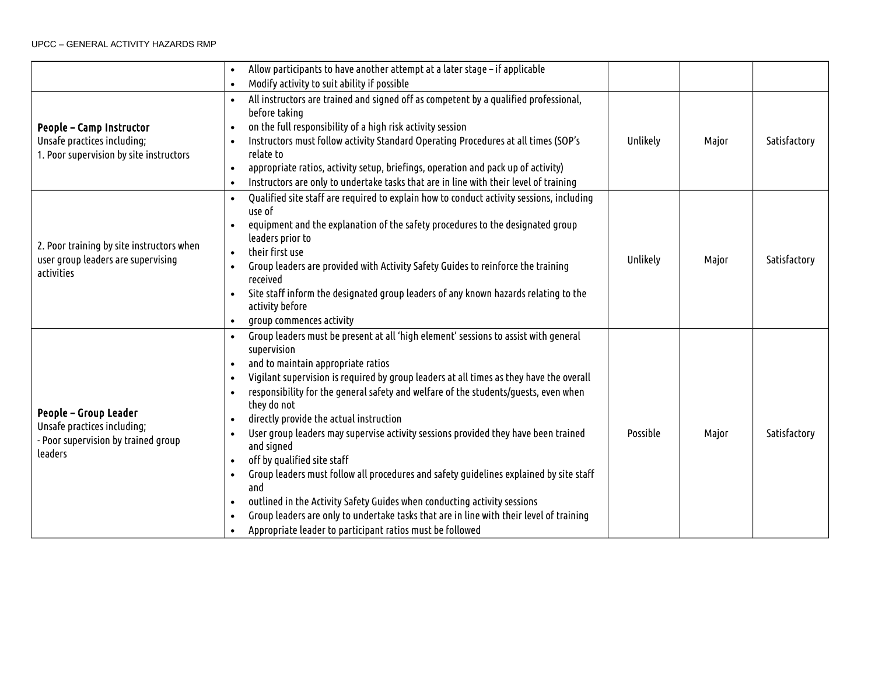## UPCC – GENERAL ACTIVITY HAZARDS RMP

|                                                                                                                                                                                                                                                                                                                                                                                                                                                                                                                                                                                                                                                                                                                                                                                                                                                                                                                                                                                                  | Allow participants to have another attempt at a later stage - if applicable                                                                                                                                                                                                                                                                                                                                                                                       |          |       |              |
|--------------------------------------------------------------------------------------------------------------------------------------------------------------------------------------------------------------------------------------------------------------------------------------------------------------------------------------------------------------------------------------------------------------------------------------------------------------------------------------------------------------------------------------------------------------------------------------------------------------------------------------------------------------------------------------------------------------------------------------------------------------------------------------------------------------------------------------------------------------------------------------------------------------------------------------------------------------------------------------------------|-------------------------------------------------------------------------------------------------------------------------------------------------------------------------------------------------------------------------------------------------------------------------------------------------------------------------------------------------------------------------------------------------------------------------------------------------------------------|----------|-------|--------------|
| Modify activity to suit ability if possible                                                                                                                                                                                                                                                                                                                                                                                                                                                                                                                                                                                                                                                                                                                                                                                                                                                                                                                                                      |                                                                                                                                                                                                                                                                                                                                                                                                                                                                   |          |       |              |
| People - Camp Instructor<br>Unsafe practices including;<br>1. Poor supervision by site instructors                                                                                                                                                                                                                                                                                                                                                                                                                                                                                                                                                                                                                                                                                                                                                                                                                                                                                               | All instructors are trained and signed off as competent by a qualified professional,<br>before taking<br>on the full responsibility of a high risk activity session<br>$\bullet$<br>Instructors must follow activity Standard Operating Procedures at all times (SOP's<br>relate to<br>appropriate ratios, activity setup, briefings, operation and pack up of activity)<br>Instructors are only to undertake tasks that are in line with their level of training | Unlikely | Major | Satisfactory |
| 2. Poor training by site instructors when<br>user group leaders are supervising<br>activities                                                                                                                                                                                                                                                                                                                                                                                                                                                                                                                                                                                                                                                                                                                                                                                                                                                                                                    | Qualified site staff are required to explain how to conduct activity sessions, including<br>use of<br>equipment and the explanation of the safety procedures to the designated group<br>leaders prior to<br>their first use<br>Group leaders are provided with Activity Safety Guides to reinforce the training<br>received<br>Site staff inform the designated group leaders of any known hazards relating to the<br>activity before<br>group commences activity |          |       |              |
| Group leaders must be present at all 'high element' sessions to assist with general<br>supervision<br>and to maintain appropriate ratios<br>Vigilant supervision is required by group leaders at all times as they have the overall<br>responsibility for the general safety and welfare of the students/guests, even when<br>they do not<br>People - Group Leader<br>directly provide the actual instruction<br>Unsafe practices including;<br>User group leaders may supervise activity sessions provided they have been trained<br>- Poor supervision by trained group<br>and signed<br>leaders<br>off by qualified site staff<br>Group leaders must follow all procedures and safety guidelines explained by site staff<br>$\bullet$<br>and<br>outlined in the Activity Safety Guides when conducting activity sessions<br>$\bullet$<br>Group leaders are only to undertake tasks that are in line with their level of training<br>Appropriate leader to participant ratios must be followed |                                                                                                                                                                                                                                                                                                                                                                                                                                                                   | Possible | Major | Satisfactory |